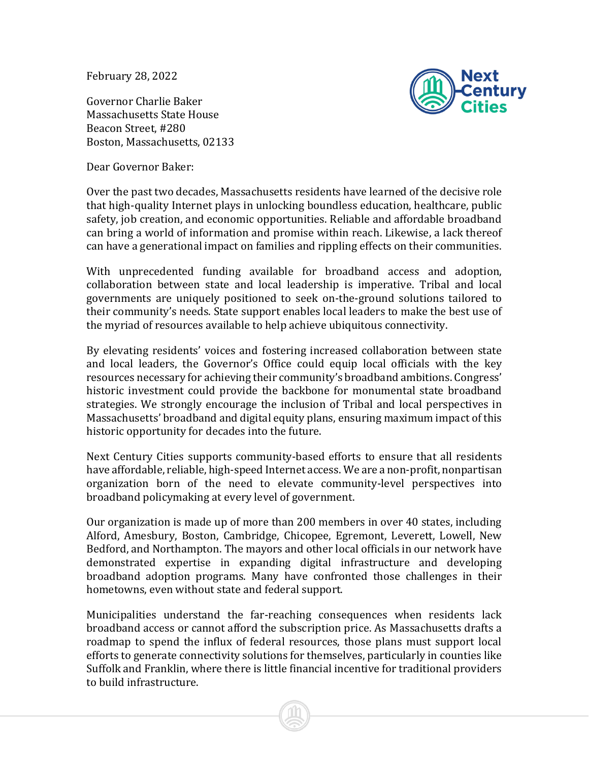February 28, 2022

Governor Charlie Baker Massachusetts State House Beacon Street, #280 Boston, Massachusetts, 02133

Dear Governor Baker:



Over the past two decades, Massachusetts residents have learned of the decisive role that high-quality Internet plays in unlocking boundless education, healthcare, public safety, job creation, and economic opportunities. Reliable and affordable broadband can bring a world of information and promise within reach. Likewise, a lack thereof can have a generational impact on families and rippling effects on their communities.

With unprecedented funding available for broadband access and adoption, collaboration between state and local leadership is imperative. Tribal and local governments are uniquely positioned to seek on-the-ground solutions tailored to their community's needs. State support enables local leaders to make the best use of the myriad of resources available to help achieve ubiquitous connectivity.

By elevating residents' voices and fostering increased collaboration between state and local leaders, the Governor's Office could equip local officials with the key resources necessary for achieving their community's broadband ambitions. Congress' historic investment could provide the backbone for monumental state broadband strategies. We strongly encourage the inclusion of Tribal and local perspectives in Massachusetts' broadband and digital equity plans, ensuring maximum impact of this historic opportunity for decades into the future.

Next Century Cities supports community-based efforts to ensure that all residents have affordable, reliable, high-speed Internet access. We are a non-profit, nonpartisan organization born of the need to elevate community-level perspectives into broadband policymaking at every level of government.

Our organization is made up of more than 200 members in over 40 states, including Alford, Amesbury, Boston, Cambridge, Chicopee, Egremont, Leverett, Lowell, New Bedford, and Northampton. The mayors and other local officials in our network have demonstrated expertise in expanding digital infrastructure and developing broadband adoption programs. Many have confronted those challenges in their hometowns, even without state and federal support.

Municipalities understand the far-reaching consequences when residents lack broadband access or cannot afford the subscription price. As Massachusetts drafts a roadmap to spend the influx of federal resources, those plans must support local efforts to generate connectivity solutions for themselves, particularly in counties like Suffolk and Franklin, where there is little financial incentive for traditional providers to build infrastructure.